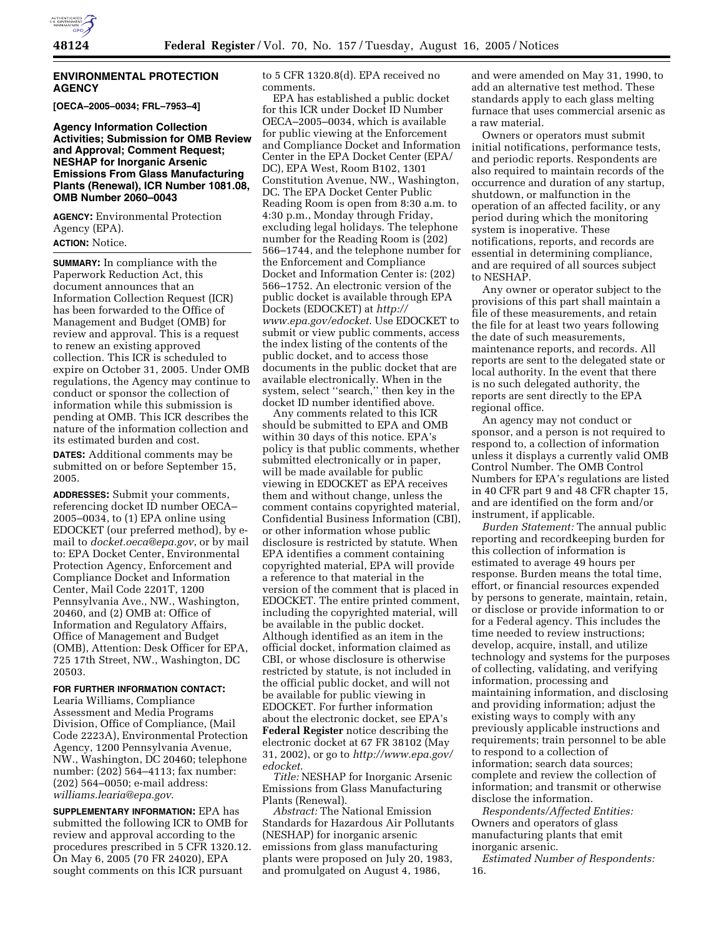

#### **ENVIRONMENTAL PROTECTION AGENCY**

**[OECA–2005–0034; FRL–7953–4]** 

**Agency Information Collection Activities; Submission for OMB Review and Approval; Comment Request; NESHAP for Inorganic Arsenic Emissions From Glass Manufacturing Plants (Renewal), ICR Number 1081.08, OMB Number 2060–0043**

**AGENCY:** Environmental Protection Agency (EPA). **ACTION:** Notice.

**SUMMARY:** In compliance with the Paperwork Reduction Act, this document announces that an Information Collection Request (ICR) has been forwarded to the Office of Management and Budget (OMB) for review and approval. This is a request to renew an existing approved collection. This ICR is scheduled to expire on October 31, 2005. Under OMB regulations, the Agency may continue to conduct or sponsor the collection of information while this submission is pending at OMB. This ICR describes the nature of the information collection and its estimated burden and cost.

**DATES:** Additional comments may be submitted on or before September 15, 2005.

**ADDRESSES:** Submit your comments, referencing docket ID number OECA– 2005–0034, to (1) EPA online using EDOCKET (our preferred method), by email to *docket.oeca@epa.gov*, or by mail to: EPA Docket Center, Environmental Protection Agency, Enforcement and Compliance Docket and Information Center, Mail Code 2201T, 1200 Pennsylvania Ave., NW., Washington, 20460, and (2) OMB at: Office of Information and Regulatory Affairs, Office of Management and Budget (OMB), Attention: Desk Officer for EPA, 725 17th Street, NW., Washington, DC 20503.

**FOR FURTHER INFORMATION CONTACT:**

Learia Williams, Compliance Assessment and Media Programs Division, Office of Compliance, (Mail Code 2223A), Environmental Protection Agency, 1200 Pennsylvania Avenue, NW., Washington, DC 20460; telephone number: (202) 564–4113; fax number: (202) 564–0050; e-mail address: *williams.learia@epa.gov*.

**SUPPLEMENTARY INFORMATION:** EPA has submitted the following ICR to OMB for review and approval according to the procedures prescribed in 5 CFR 1320.12. On May 6, 2005 (70 FR 24020), EPA sought comments on this ICR pursuant

to 5 CFR 1320.8(d). EPA received no comments.

EPA has established a public docket for this ICR under Docket ID Number OECA–2005–0034, which is available for public viewing at the Enforcement and Compliance Docket and Information Center in the EPA Docket Center (EPA/ DC), EPA West, Room B102, 1301 Constitution Avenue, NW., Washington, DC. The EPA Docket Center Public Reading Room is open from 8:30 a.m. to 4:30 p.m., Monday through Friday, excluding legal holidays. The telephone number for the Reading Room is (202) 566–1744, and the telephone number for the Enforcement and Compliance Docket and Information Center is: (202) 566–1752. An electronic version of the public docket is available through EPA Dockets (EDOCKET) at *http:// www.epa.gov/edocket*. Use EDOCKET to submit or view public comments, access the index listing of the contents of the public docket, and to access those documents in the public docket that are available electronically. When in the system, select ''search,'' then key in the docket ID number identified above.

Any comments related to this ICR should be submitted to EPA and OMB within 30 days of this notice. EPA's policy is that public comments, whether submitted electronically or in paper, will be made available for public viewing in EDOCKET as EPA receives them and without change, unless the comment contains copyrighted material, Confidential Business Information (CBI), or other information whose public disclosure is restricted by statute. When EPA identifies a comment containing copyrighted material, EPA will provide a reference to that material in the version of the comment that is placed in EDOCKET. The entire printed comment, including the copyrighted material, will be available in the public docket. Although identified as an item in the official docket, information claimed as CBI, or whose disclosure is otherwise restricted by statute, is not included in the official public docket, and will not be available for public viewing in EDOCKET. For further information about the electronic docket, see EPA's **Federal Register** notice describing the electronic docket at 67 FR 38102 (May 31, 2002), or go to *http://www.epa.gov/ edocket*.

*Title:* NESHAP for Inorganic Arsenic Emissions from Glass Manufacturing Plants (Renewal).

*Abstract:* The National Emission Standards for Hazardous Air Pollutants (NESHAP) for inorganic arsenic emissions from glass manufacturing plants were proposed on July 20, 1983, and promulgated on August 4, 1986,

and were amended on May 31, 1990, to add an alternative test method. These standards apply to each glass melting furnace that uses commercial arsenic as a raw material.

Owners or operators must submit initial notifications, performance tests, and periodic reports. Respondents are also required to maintain records of the occurrence and duration of any startup, shutdown, or malfunction in the operation of an affected facility, or any period during which the monitoring system is inoperative. These notifications, reports, and records are essential in determining compliance, and are required of all sources subject to NESHAP.

Any owner or operator subject to the provisions of this part shall maintain a file of these measurements, and retain the file for at least two years following the date of such measurements, maintenance reports, and records. All reports are sent to the delegated state or local authority. In the event that there is no such delegated authority, the reports are sent directly to the EPA regional office.

An agency may not conduct or sponsor, and a person is not required to respond to, a collection of information unless it displays a currently valid OMB Control Number. The OMB Control Numbers for EPA's regulations are listed in 40 CFR part 9 and 48 CFR chapter 15, and are identified on the form and/or instrument, if applicable.

*Burden Statement:* The annual public reporting and recordkeeping burden for this collection of information is estimated to average 49 hours per response. Burden means the total time, effort, or financial resources expended by persons to generate, maintain, retain, or disclose or provide information to or for a Federal agency. This includes the time needed to review instructions; develop, acquire, install, and utilize technology and systems for the purposes of collecting, validating, and verifying information, processing and maintaining information, and disclosing and providing information; adjust the existing ways to comply with any previously applicable instructions and requirements; train personnel to be able to respond to a collection of information; search data sources; complete and review the collection of information; and transmit or otherwise disclose the information.

*Respondents/Affected Entities:* Owners and operators of glass manufacturing plants that emit inorganic arsenic.

*Estimated Number of Respondents:* 16.